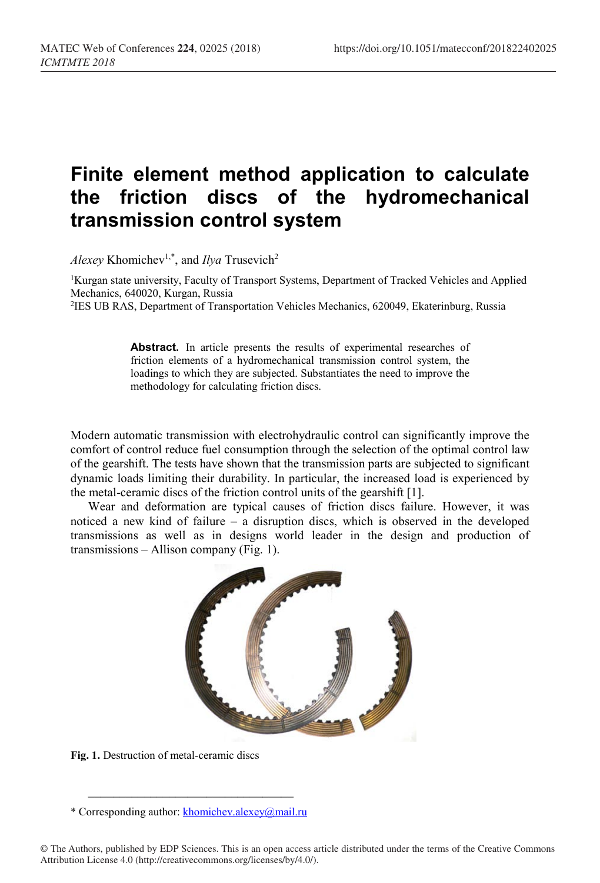## **Finite element method application to calculate the friction discs of the hydromechanical transmission control system**

*Alexey* Khomichev1,\* , and *Ilya* Trusevich2

1Kurgan state university, Faculty of Transport Systems, Department of Tracked Vehicles and Applied Mechanics, 640020, Kurgan, Russia

2IES UB RAS, Department of Transportation Vehicles Mechanics, 620049, Ekaterinburg, Russia

Abstract. In article presents the results of experimental researches of friction elements of a hydromechanical transmission control system, the loadings to which they are subjected. Substantiates the need to improve the methodology for calculating friction discs.

Modern automatic transmission with electrohydraulic control can significantly improve the comfort of control reduce fuel consumption through the selection of the optimal control law of the gearshift. The tests have shown that the transmission parts are subjected to significant dynamic loads limiting their durability. In particular, the increased load is experienced by the metal-ceramic discs of the friction control units of the gearshift [1].

Wear and deformation are typical causes of friction discs failure. However, it was noticed a new kind of failure – a disruption discs, which is observed in the developed transmissions as well as in designs world leader in the design and production of transmissions – Allison company (Fig. 1).



**Fig. 1.** Destruction of metal-ceramic discs

 $\_$  , and the set of the set of the set of the set of the set of the set of the set of the set of the set of the set of the set of the set of the set of the set of the set of the set of the set of the set of the set of th \* Corresponding author: [khomichev.alexey@mail.ru](mailto:khomichev.alexey@mail.ru)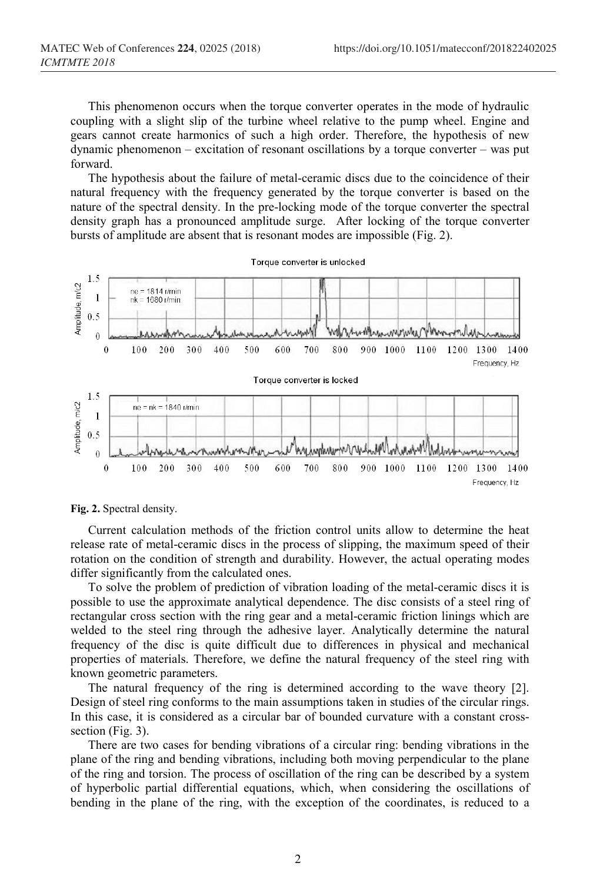This phenomenon occurs when the torque converter operates in the mode of hydraulic coupling with a slight slip of the turbine wheel relative to the pump wheel. Engine and gears cannot create harmonics of such a high order. Therefore, the hypothesis of new dynamic phenomenon – excitation of resonant oscillations by a torque converter – was put forward.

The hypothesis about the failure of metal-ceramic discs due to the coincidence of their natural frequency with the frequency generated by the torque converter is based on the nature of the spectral density. In the pre-locking mode of the torque converter the spectral density graph has a pronounced amplitude surge. After locking of the torque converter bursts of amplitude are absent that is resonant modes are impossible (Fig. 2).



**Fig. 2.** Spectral density.

Current calculation methods of the friction control units allow to determine the heat release rate of metal-ceramic discs in the process of slipping, the maximum speed of their rotation on the condition of strength and durability. However, the actual operating modes differ significantly from the calculated ones.

To solve the problem of prediction of vibration loading of the metal-ceramic discs it is possible to use the approximate analytical dependence. The disc consists of a steel ring of rectangular cross section with the ring gear and a metal-ceramic friction linings which are welded to the steel ring through the adhesive layer. Analytically determine the natural frequency of the disc is quite difficult due to differences in physical and mechanical properties of materials. Therefore, we define the natural frequency of the steel ring with known geometric parameters.

The natural frequency of the ring is determined according to the wave theory [2]. Design of steel ring conforms to the main assumptions taken in studies of the circular rings. In this case, it is considered as a circular bar of bounded curvature with a constant crosssection (Fig. 3).

There are two cases for bending vibrations of a circular ring: bending vibrations in the plane of the ring and bending vibrations, including both moving perpendicular to the plane of the ring and torsion. The process of oscillation of the ring can be described by a system of hyperbolic partial differential equations, which, when considering the oscillations of bending in the plane of the ring, with the exception of the coordinates, is reduced to a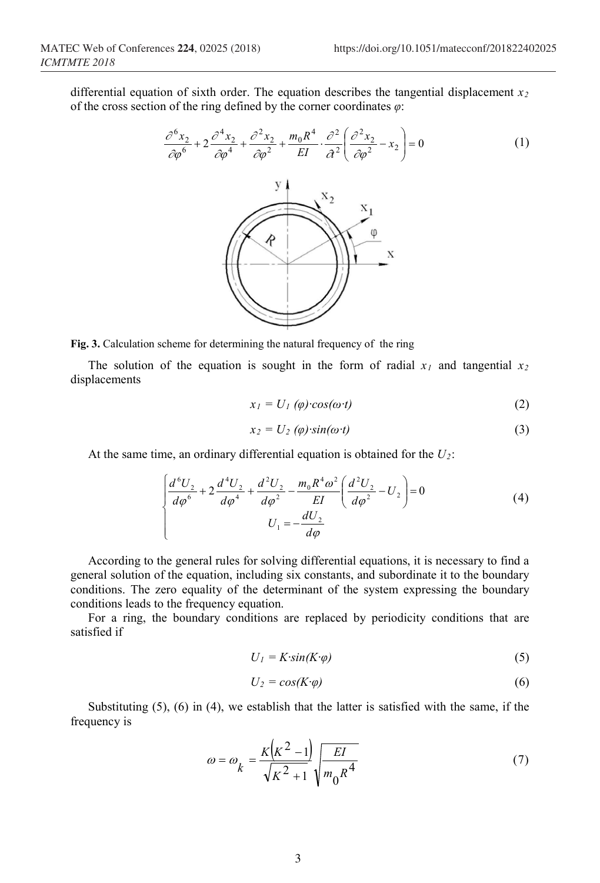differential equation of sixth order. The equation describes the tangential displacement  $x_2$ of the cross section of the ring defined by the corner coordinates *φ*:

$$
\frac{\partial^6 x_2}{\partial \varphi^6} + 2 \frac{\partial^4 x_2}{\partial \varphi^4} + \frac{\partial^2 x_2}{\partial \varphi^2} + \frac{m_0 R^4}{EI} \cdot \frac{\partial^2}{\partial t^2} \left( \frac{\partial^2 x_2}{\partial \varphi^2} - x_2 \right) = 0
$$
 (1)

## **Fig. 3.** Calculation scheme for determining the natural frequency of the ring

The solution of the equation is sought in the form of radial  $x_1$  and tangential  $x_2$ displacements

$$
x_1 = U_1(\varphi) \cdot cos(\omega \cdot t) \tag{2}
$$

$$
x_2 = U_2 \left( \varphi \right) \sin(\omega \cdot t) \tag{3}
$$

At the same time, an ordinary differential equation is obtained for the *U2*:

$$
\begin{cases}\n\frac{d^6 U_2}{d\varphi^6} + 2\frac{d^4 U_2}{d\varphi^4} + \frac{d^2 U_2}{d\varphi^2} - \frac{m_0 R^4 \omega^2}{EI} \left(\frac{d^2 U_2}{d\varphi^2} - U_2\right) = 0 \\
U_1 = -\frac{dU_2}{d\varphi}\n\end{cases} \tag{4}
$$

According to the general rules for solving differential equations, it is necessary to find a general solution of the equation, including six constants, and subordinate it to the boundary conditions. The zero equality of the determinant of the system expressing the boundary conditions leads to the frequency equation.

For a ring, the boundary conditions are replaced by periodicity conditions that are satisfied if

$$
U_I = K \cdot \sin(K \cdot \varphi) \tag{5}
$$

$$
U_2 = \cos(K \cdot \varphi) \tag{6}
$$

Substituting (5), (6) in (4), we establish that the latter is satisfied with the same, if the frequency is

$$
\omega = \omega_k = \frac{K\left(k^2 - 1\right)}{\sqrt{k^2 + 1}} \sqrt{\frac{EI}{m_0 R^4}}
$$
\n(7)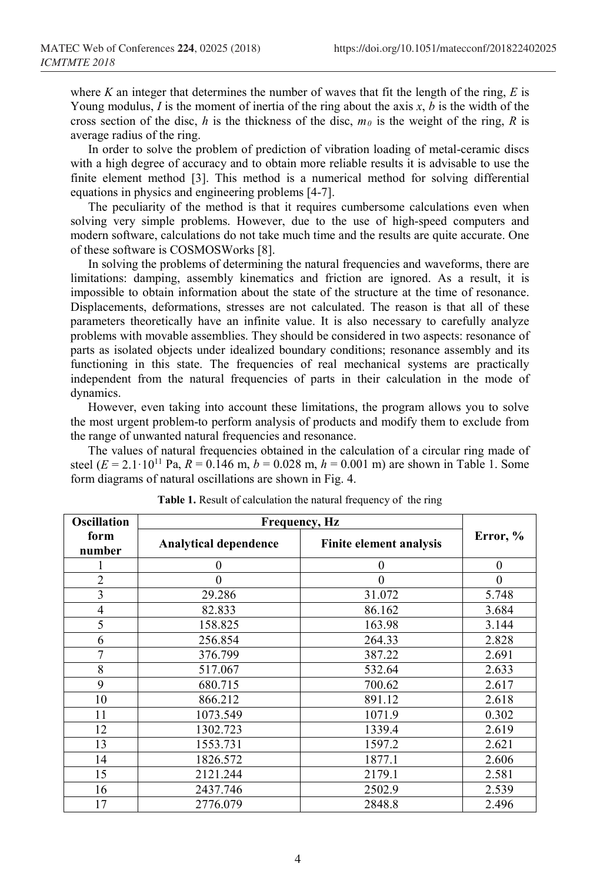where  $K$  an integer that determines the number of waves that fit the length of the ring,  $E$  is Young modulus, *I* is the moment of inertia of the ring about the axis *x*, *b* is the width of the cross section of the disc, *h* is the thickness of the disc,  $m<sub>0</sub>$  is the weight of the ring, *R* is average radius of the ring.

In order to solve the problem of prediction of vibration loading of metal-ceramic discs with a high degree of accuracy and to obtain more reliable results it is advisable to use the finite element method [3]. This method is a numerical method for solving differential equations in physics and engineering problems [4-7].

The peculiarity of the method is that it requires cumbersome calculations even when solving very simple problems. However, due to the use of high-speed computers and modern software, calculations do not take much time and the results are quite accurate. One of these software is COSMOSWorks [8].

In solving the problems of determining the natural frequencies and waveforms, there are limitations: damping, assembly kinematics and friction are ignored. As a result, it is impossible to obtain information about the state of the structure at the time of resonance. Displacements, deformations, stresses are not calculated. The reason is that all of these parameters theoretically have an infinite value. It is also necessary to carefully analyze problems with movable assemblies. They should be considered in two aspects: resonance of parts as isolated objects under idealized boundary conditions; resonance assembly and its functioning in this state. The frequencies of real mechanical systems are practically independent from the natural frequencies of parts in their calculation in the mode of dynamics.

However, even taking into account these limitations, the program allows you to solve the most urgent problem-to perform analysis of products and modify them to exclude from the range of unwanted natural frequencies and resonance.

The values of natural frequencies obtained in the calculation of a circular ring made of steel ( $E = 2.1 \cdot 10^{11}$  Pa,  $R = 0.146$  m,  $b = 0.028$  m,  $h = 0.001$  m) are shown in Table 1. Some form diagrams of natural oscillations are shown in Fig. 4.

| <b>Oscillation</b> | Frequency, Hz                |                                |          |
|--------------------|------------------------------|--------------------------------|----------|
| form<br>number     | <b>Analytical dependence</b> | <b>Finite element analysis</b> | Error, % |
|                    | $\theta$                     | $\theta$                       | $\theta$ |
| $\overline{2}$     | $\theta$                     | $\theta$                       | $\theta$ |
| 3                  | 29.286                       | 31.072                         | 5.748    |
| 4                  | 82.833                       | 86.162                         | 3.684    |
| 5                  | 158.825                      | 163.98                         | 3.144    |
| 6                  | 256.854                      | 264.33                         | 2.828    |
| 7                  | 376.799                      | 387.22                         | 2.691    |
| 8                  | 517.067                      | 532.64                         | 2.633    |
| 9                  | 680.715                      | 700.62                         | 2.617    |
| 10                 | 866.212                      | 891.12                         | 2.618    |
| 11                 | 1073.549                     | 1071.9                         | 0.302    |
| 12                 | 1302.723                     | 1339.4                         | 2.619    |
| 13                 | 1553.731                     | 1597.2                         | 2.621    |
| 14                 | 1826.572                     | 1877.1                         | 2.606    |
| 15                 | 2121.244                     | 2179.1                         | 2.581    |
| 16                 | 2437.746                     | 2502.9                         | 2.539    |
| 17                 | 2776.079                     | 2848.8                         | 2.496    |

**Table 1.** Result of calculation the natural frequency of the ring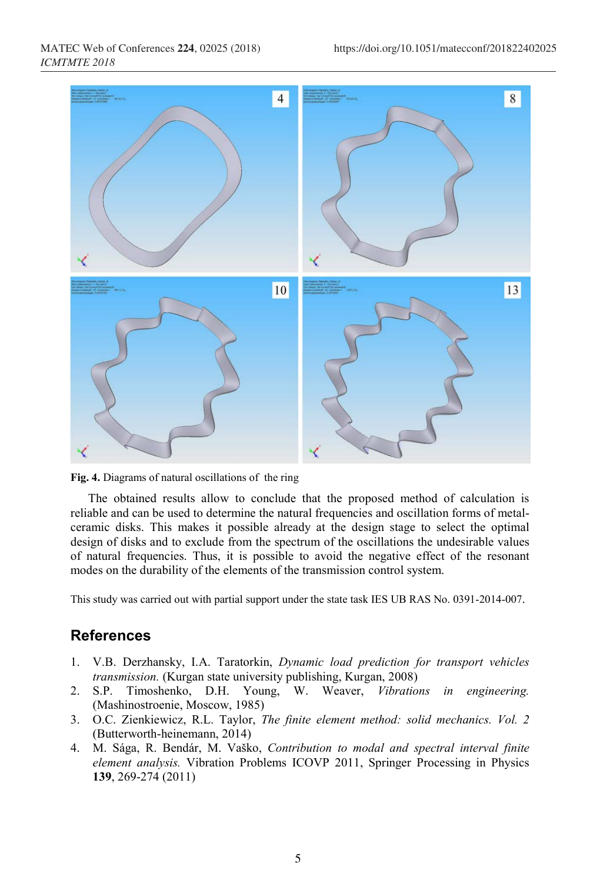

**Fig. 4.** Diagrams of natural oscillations of the ring

The obtained results allow to conclude that the proposed method of calculation is reliable and can be used to determine the natural frequencies and oscillation forms of metalceramic disks. This makes it possible already at the design stage to select the optimal design of disks and to exclude from the spectrum of the oscillations the undesirable values of natural frequencies. Thus, it is possible to avoid the negative effect of the resonant modes on the durability of the elements of the transmission control system.

This study was carried out with partial support under the state task IES UB RAS No. 0391-2014-007.

## **References**

- 1. V.B. Derzhansky, I.A. Taratorkin, *Dynamic load prediction for transport vehicles transmission.* (Kurgan state university publishing, Kurgan, 2008)
- 2. S.P. Timoshenko, D.H. Young, W. Weaver, *Vibrations in engineering.* (Mashinostroenie, Moscow, 1985)
- 3. O.C. Zienkiewicz, R.L. Taylor, *The finite element method: solid mechanics. Vol. 2* (Butterworth-heinemann, 2014)
- 4. M. Sága, R. Bendár, M. Vaško, *Contribution to modal and spectral interval finite element analysis.* Vibration Problems ICOVP 2011, Springer Processing in Physics **139**, 269-274 (2011)